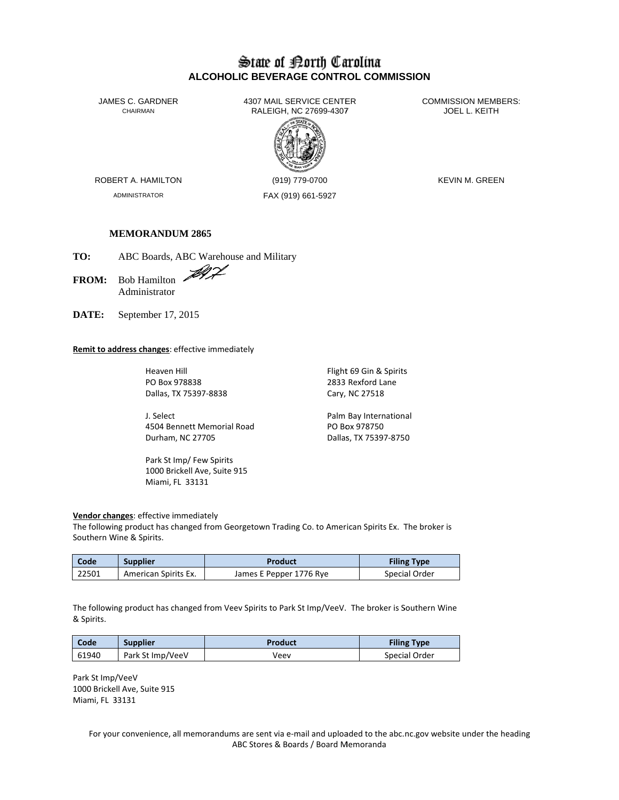# State of Borth Carolina **ALCOHOLIC BEVERAGE CONTROL COMMISSION**

JAMES C. GARDNER CHAIRMAN

4307 MAIL SERVICE CENTER RALEIGH, NC 27699-4307



**COMMISSION MEMBERS:** JOEL L. KEITH

ROBERT A. HAMILTON

ADMINISTRATOR

(919) 779-0700 FAX (919) 661-5927 **KEVIN M. GREEN** 

## **MEMORANDUM 2865**

TO: ABC Boards, ABC Warehouse and Military

Bob Hamilton **FROM:** Administrator

DATE: September 17, 2015

## Remit to address changes: effective immediately

Heaven Hill PO Box 978838 Dallas, TX 75397-8838

J. Select 4504 Bennett Memorial Road Durham, NC 27705

Park St Imp/Few Spirits 1000 Brickell Ave, Suite 915 Miami, FL 33131

Flight 69 Gin & Spirits 2833 Rexford Lane Cary, NC 27518

Palm Bay International PO Box 978750 Dallas, TX 75397-8750

#### Vendor changes: effective immediately

The following product has changed from Georgetown Trading Co. to American Spirits Ex. The broker is Southern Wine & Spirits.

| Code  | <b>Supplier</b>      | Product                 | <b>Filing Type</b> |  |  |
|-------|----------------------|-------------------------|--------------------|--|--|
| 22501 | American Spirits Ex. | James E Pepper 1776 Rye | Special Order      |  |  |

The following product has changed from Veev Spirits to Park St Imp/VeeV. The broker is Southern Wine & Spirits.

| Code  | <b>Supplier</b>  | Product | <b>Filing Type</b> |
|-------|------------------|---------|--------------------|
| 61940 | Park St Imp/VeeV | Veev    | Special Order      |

Park St Imp/VeeV 1000 Brickell Ave, Suite 915 Miami, FL 33131

> For your convenience, all memorandums are sent via e-mail and uploaded to the abc.nc.gov website under the heading ABC Stores & Boards / Board Memoranda